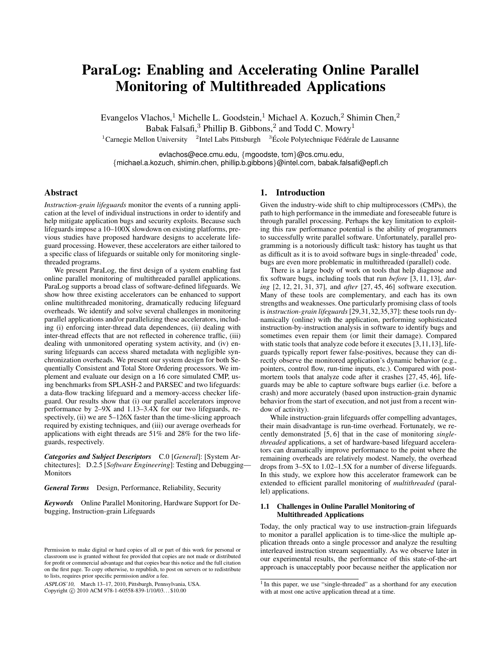# ParaLog: Enabling and Accelerating Online Parallel Monitoring of Multithreaded Applications

Evangelos Vlachos,<sup>1</sup> Michelle L. Goodstein,<sup>1</sup> Michael A. Kozuch,<sup>2</sup> Shimin Chen,<sup>2</sup> Babak Falsafi, $^3$  Phillip B. Gibbons, $^2$  and Todd C. Mowry<sup>1</sup> <sup>1</sup>Carnegie Mellon University <sup>2</sup>Intel Labs Pittsburgh <sup>3</sup>École Polytechnique Fédérale de Lausanne

evlachos@ece.cmu.edu, {mgoodste, tcm}@cs.cmu.edu, {michael.a.kozuch, shimin.chen, phillip.b.gibbons}@intel.com, babak.falsafi@epfl.ch

# Abstract

*Instruction-grain lifeguards* monitor the events of a running application at the level of individual instructions in order to identify and help mitigate application bugs and security exploits. Because such lifeguards impose a 10–100X slowdown on existing platforms, previous studies have proposed hardware designs to accelerate lifeguard processing. However, these accelerators are either tailored to a specific class of lifeguards or suitable only for monitoring singlethreaded programs.

We present ParaLog, the first design of a system enabling fast online parallel monitoring of multithreaded parallel applications. ParaLog supports a broad class of software-defined lifeguards. We show how three existing accelerators can be enhanced to support online multithreaded monitoring, dramatically reducing lifeguard overheads. We identify and solve several challenges in monitoring parallel applications and/or parallelizing these accelerators, including (i) enforcing inter-thread data dependences, (ii) dealing with inter-thread effects that are not reflected in coherence traffic, (iii) dealing with unmonitored operating system activity, and (iv) ensuring lifeguards can access shared metadata with negligible synchronization overheads. We present our system design for both Sequentially Consistent and Total Store Ordering processors. We implement and evaluate our design on a 16 core simulated CMP, using benchmarks from SPLASH-2 and PARSEC and two lifeguards: a data-flow tracking lifeguard and a memory-access checker lifeguard. Our results show that (i) our parallel accelerators improve performance by  $2-9X$  and  $1.13-3.4X$  for our two lifeguards, respectively, (ii) we are  $5-126X$  faster than the time-slicing approach required by existing techniques, and (iii) our average overheads for applications with eight threads are 51% and 28% for the two lifeguards, respectively.

*Categories and Subject Descriptors* C.0 [*General*]: [System Architectures]; D.2.5 [*Software Engineering*]: Testing and Debugging— Monitors

*General Terms* Design, Performance, Reliability, Security

*Keywords* Online Parallel Monitoring, Hardware Support for Debugging, Instruction-grain Lifeguards

ASPLOS'10, March 13–17, 2010, Pittsburgh, Pennsylvania, USA. Copyright © 2010 ACM 978-1-60558-839-1/10/03... \$10.00

## 1. Introduction

Given the industry-wide shift to chip multiprocessors (CMPs), the path to high performance in the immediate and foreseeable future is through parallel processing. Perhaps the key limitation to exploiting this raw performance potential is the ability of programmers to successfully write parallel software. Unfortunately, parallel programming is a notoriously difficult task: history has taught us that as difficult as it is to avoid software bugs in single-threaded<sup>1</sup> code, bugs are even more problematic in multithreaded (parallel) code.

There is a large body of work on tools that help diagnose and fix software bugs, including tools that run *before* [3, 11, 13], *during* [2, 12, 21, 31, 37], and *after* [27, 45, 46] software execution. Many of these tools are complementary, and each has its own strengths and weaknesses. One particularly promising class of tools is *instruction-grain lifeguards* [29,31,32,35,37]: these tools run dynamically (online) with the application, performing sophisticated instruction-by-instruction analysis in software to identify bugs and sometimes even repair them (or limit their damage). Compared with static tools that analyze code before it executes [3,11,13], lifeguards typically report fewer false-positives, because they can directly observe the monitored application's dynamic behavior (e.g., pointers, control flow, run-time inputs, etc.). Compared with postmortem tools that analyze code after it crashes [27, 45, 46], lifeguards may be able to capture software bugs earlier (i.e. before a crash) and more accurately (based upon instruction-grain dynamic behavior from the start of execution, and not just from a recent window of activity).

While instruction-grain lifeguards offer compelling advantages, their main disadvantage is run-time overhead. Fortunately, we recently demonstrated [5, 6] that in the case of monitoring *singlethreaded* applications, a set of hardware-based lifeguard accelerators can dramatically improve performance to the point where the remaining overheads are relatively modest. Namely, the overhead drops from 3–5X to 1.02–1.5X for a number of diverse lifeguards. In this study, we explore how this accelerator framework can be extended to efficient parallel monitoring of *multithreaded* (parallel) applications.

## 1.1 Challenges in Online Parallel Monitoring of Multithreaded Applications

Today, the only practical way to use instruction-grain lifeguards to monitor a parallel application is to time-slice the multiple application threads onto a single processor and analyze the resulting interleaved instruction stream sequentially. As we observe later in our experimental results, the performance of this state-of-the-art approach is unacceptably poor because neither the application nor

Permission to make digital or hard copies of all or part of this work for personal or classroom use is granted without fee provided that copies are not made or distributed for profit or commercial advantage and that copies bear this notice and the full citation on the first page. To copy otherwise, to republish, to post on servers or to redistribute to lists, requires prior specific permission and/or a fee.

<sup>&</sup>lt;sup>1</sup> In this paper, we use "single-threaded" as a shorthand for any execution with at most one active application thread at a time.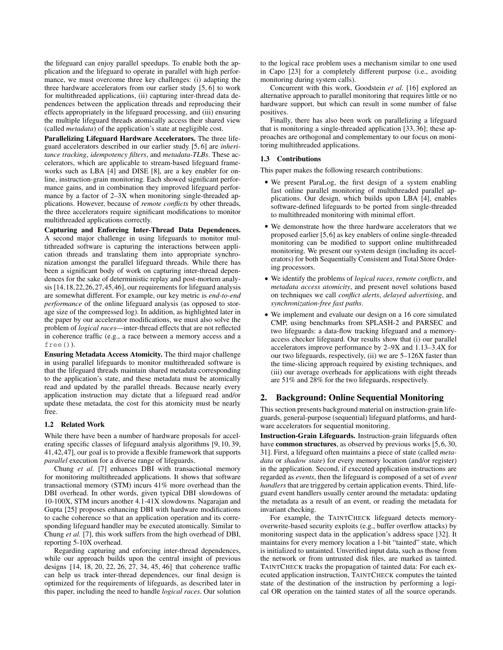the lifeguard can enjoy parallel speedups. To enable both the application and the lifeguard to operate in parallel with high performance, we must overcome three key challenges: (i) adapting the three hardware accelerators from our earlier study [5, 6] to work for multithreaded applications, (ii) capturing inter-thread data dependences between the application threads and reproducing their effects appropriately in the lifeguard processing, and (iii) ensuring the multiple lifeguard threads atomically access their shared view (called *metadata*) of the application's state at negligible cost.

Parallelizing Lifeguard Hardware Accelerators. The three lifeguard accelerators described in our earlier study [5, 6] are *inheritance tracking*, *idempotency filters*, and *metadata-TLBs*. These accelerators, which are applicable to stream-based lifeguard frameworks such as LBA [4] and DISE [8], are a key enabler for online, instruction-grain monitoring. Each showed significant performance gains, and in combination they improved lifeguard performance by a factor of 2–3X when monitoring single-threaded applications. However, because of *remote conflicts* by other threads, the three accelerators require significant modifications to monitor multithreaded applications correctly.

Capturing and Enforcing Inter-Thread Data Dependences. A second major challenge in using lifeguards to monitor multithreaded software is capturing the interactions between application threads and translating them into appropriate synchronization amongst the parallel lifeguard threads. While there has been a significant body of work on capturing inter-thread dependences for the sake of deterministic replay and post-mortem analysis [14,18,22,26,27,45,46], our requirements for lifeguard analysis are somewhat different. For example, our key metric is *end-to-end performance* of the online lifeguard analysis (as opposed to storage size of the compressed log). In addition, as highlighted later in the paper by our accelerator modifications, we must also solve the problem of *logical races*—inter-thread effects that are not reflected in coherence traffic (e.g., a race between a memory access and a  $free()$ ).

Ensuring Metadata Access Atomicity. The third major challenge in using parallel lifeguards to monitor multithreaded software is that the lifeguard threads maintain shared metadata corresponding to the application's state, and these metadata must be atomically read and updated by the parallel threads. Because nearly every application instruction may dictate that a lifeguard read and/or update these metadata, the cost for this atomicity must be nearly free.

## 1.2 Related Work

While there have been a number of hardware proposals for accelerating specific classes of lifeguard analysis algorithms [9, 10, 39, 41,42,47], our goal is to provide a flexible framework that supports *parallel* execution for a diverse range of lifeguards.

Chung *et al.* [7] enhances DBI with transactional memory for monitoring multithreaded applications. It shows that software transactional memory (STM) incurs 41% more overhead than the DBI overhead. In other words, given typical DBI slowdowns of 10-100X, STM incurs another 4.1-41X slowdowns. Nagarajan and Gupta [25] proposes enhancing DBI with hardware modifications to cache coherence so that an application operation and its corresponding lifeguard handler may be executed atomically. Similar to Chung *et al.* [7], this work suffers from the high overhead of DBI, reporting 5-10X overhead.

Regarding capturing and enforcing inter-thread dependences, while our approach builds upon the central insight of previous designs [14, 18, 20, 22, 26, 27, 34, 45, 46] that coherence traffic can help us track inter-thread dependences, our final design is optimized for the requirements of lifeguards, as described later in this paper, including the need to handle *logical races*. Our solution to the logical race problem uses a mechanism similar to one used in Capo [23] for a completely different purpose (i.e., avoiding monitoring during system calls).

Concurrent with this work, Goodstein *et al.* [16] explored an alternative approach to parallel monitoring that requires little or no hardware support, but which can result in some number of false positives.

Finally, there has also been work on parallelizing a lifeguard that is monitoring a single-threaded application [33, 36]; these approaches are orthogonal and complementary to our focus on monitoring multithreaded applications.

#### 1.3 Contributions

This paper makes the following research contributions:

- We present ParaLog, the first design of a system enabling fast online parallel monitoring of multithreaded parallel applications. Our design, which builds upon LBA [4], enables software-defined lifeguards to be ported from single-threaded to multithreaded monitoring with minimal effort.
- We demonstrate how the three hardware accelerators that we proposed earlier [5, 6] as key enablers of online single-threaded monitoring can be modified to support online multithreaded monitoring. We present our system design (including its accelerators) for both Sequentially Consistent and Total Store Ordering processors.
- We identify the problems of *logical races*, *remote conflicts*, and *metadata access atomicity*, and present novel solutions based on techniques we call *conflict alerts*, *delayed advertising*, and *synchronization-free fast paths*.
- We implement and evaluate our design on a 16 core simulated CMP, using benchmarks from SPLASH-2 and PARSEC and two lifeguards: a data-flow tracking lifeguard and a memoryaccess checker lifeguard. Our results show that (i) our parallel accelerators improve performance by 2–9X and 1.13–3.4X for our two lifeguards, respectively, (ii) we are 5–126X faster than the time-slicing approach required by existing techniques, and (iii) our average overheads for applications with eight threads are 51% and 28% for the two lifeguards, respectively.

## 2. Background: Online Sequential Monitoring

This section presents background material on instruction-grain lifeguards, general-purpose (sequential) lifeguard platforms, and hardware accelerators for sequential monitoring.

Instruction-Grain Lifeguards. Instruction-grain lifeguards often have **common structures**, as observed by previous works [5, 6, 30, 31]. First, a lifeguard often maintains a piece of state (called *metadata* or *shadow state*) for every memory location (and/or register) in the application. Second, if executed application instructions are regarded as *events*, then the lifeguard is composed of a set of *event handlers* that are triggered by certain application events. Third, lifeguard event handlers usually center around the metadata: updating the metadata as a result of an event, or reading the metadata for invariant checking.

For example, the TAINTCHECK lifeguard detects memoryoverwrite-based security exploits (e.g., buffer overflow attacks) by monitoring suspect data in the application's address space [32]. It maintains for every memory location a 1-bit "tainted" state, which is initialized to untainted. Unverified input data, such as those from the network or from untrusted disk files, are marked as tainted. TAINTCHECK tracks the propagation of tainted data: For each executed application instruction, TAINTCHECK computes the tainted state of the destination of the instruction by performing a logical OR operation on the tainted states of all the source operands.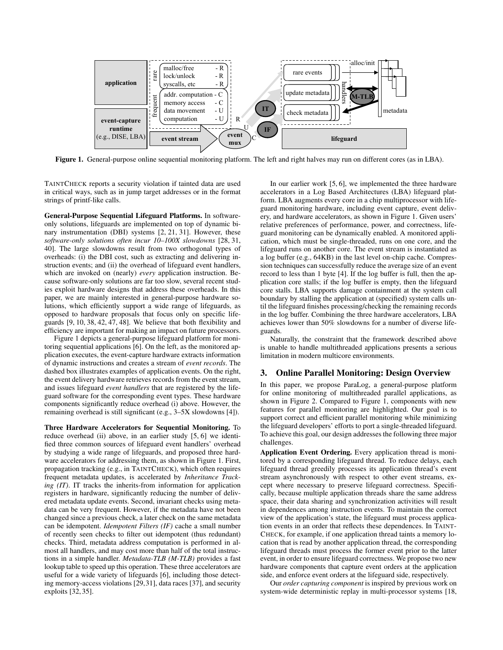

Figure 1. General-purpose online sequential monitoring platform. The left and right halves may run on different cores (as in LBA).

TAINTCHECK reports a security violation if tainted data are used in critical ways, such as in jump target addresses or in the format strings of printf-like calls.

General-Purpose Sequential Lifeguard Platforms. In softwareonly solutions, lifeguards are implemented on top of dynamic binary instrumentation (DBI) systems [2, 21, 31]. However, these *software-only solutions often incur 10–100X slowdowns* [28, 31, 40]. The large slowdowns result from two orthogonal types of overheads: (i) the DBI cost, such as extracting and delivering instruction events; and (ii) the overhead of lifeguard event handlers, which are invoked on (nearly) *every* application instruction. Because software-only solutions are far too slow, several recent studies exploit hardware designs that address these overheads. In this paper, we are mainly interested in general-purpose hardware solutions, which efficiently support a wide range of lifeguards, as opposed to hardware proposals that focus only on specific lifeguards [9, 10, 38, 42, 47, 48]. We believe that both flexibility and efficiency are important for making an impact on future processors.

Figure 1 depicts a general-purpose lifeguard platform for monitoring sequential applications [6]. On the left, as the monitored application executes, the event-capture hardware extracts information of dynamic instructions and creates a stream of *event records*. The dashed box illustrates examples of application events. On the right, the event delivery hardware retrieves records from the event stream, and issues lifeguard *event handlers* that are registered by the lifeguard software for the corresponding event types. These hardware components significantly reduce overhead (i) above. However, the remaining overhead is still significant (e.g., 3–5X slowdowns [4]).

Three Hardware Accelerators for Sequential Monitoring. To reduce overhead (ii) above, in an earlier study [5, 6] we identified three common sources of lifeguard event handlers' overhead by studying a wide range of lifeguards, and proposed three hardware accelerators for addressing them, as shown in Figure 1. First, propagation tracking (e.g., in TAINTCHECK), which often requires frequent metadata updates, is accelerated by *Inheritance Tracking (IT)*. IT tracks the inherits-from information for application registers in hardware, significantly reducing the number of delivered metadata update events. Second, invariant checks using metadata can be very frequent. However, if the metadata have not been changed since a previous check, a later check on the same metadata can be idempotent. *Idempotent Filters (IF)* cache a small number of recently seen checks to filter out idempotent (thus redundant) checks. Third, metadata address computation is performed in almost all handlers, and may cost more than half of the total instructions in a simple handler. *Metadata-TLB (M-TLB)* provides a fast lookup table to speed up this operation. These three accelerators are useful for a wide variety of lifeguards [6], including those detecting memory-access violations [29,31], data races [37], and security exploits [32, 35].

In our earlier work [5, 6], we implemented the three hardware accelerators in a Log Based Architectures (LBA) lifeguard platform. LBA augments every core in a chip multiprocessor with lifeguard monitoring hardware, including event capture, event delivery, and hardware accelerators, as shown in Figure 1. Given users' relative preferences of performance, power, and correctness, lifeguard monitoring can be dynamically enabled. A monitored application, which must be single-threaded, runs on one core, and the lifeguard runs on another core. The event stream is instantiated as a log buffer (e.g., 64KB) in the last level on-chip cache. Compression techniques can successfully reduce the average size of an event record to less than 1 byte [4]. If the log buffer is full, then the application core stalls; if the log buffer is empty, then the lifeguard core stalls. LBA supports damage containment at the system call boundary by stalling the application at (specified) system calls until the lifeguard finishes processing/checking the remaining records in the log buffer. Combining the three hardware accelerators, LBA achieves lower than 50% slowdowns for a number of diverse lifeguards.

Naturally, the constraint that the framework described above is unable to handle multithreaded applications presents a serious limitation in modern multicore environments.

## 3. Online Parallel Monitoring: Design Overview

In this paper, we propose ParaLog, a general-purpose platform for online monitoring of multithreaded parallel applications, as shown in Figure 2. Compared to Figure 1, components with new features for parallel monitoring are highlighted. Our goal is to support correct and efficient parallel monitoring while minimizing the lifeguard developers' efforts to port a single-threaded lifeguard. To achieve this goal, our design addresses the following three major challenges.

Application Event Ordering. Every application thread is monitored by a corresponding lifeguard thread. To reduce delays, each lifeguard thread greedily processes its application thread's event stream asynchronously with respect to other event streams, except where necessary to preserve lifeguard correctness. Specifically, because multiple application threads share the same address space, their data sharing and synchronization activities will result in dependences among instruction events. To maintain the correct view of the application's state, the lifeguard must process application events in an order that reflects these dependences. In TAINT-CHECK, for example, if one application thread taints a memory location that is read by another application thread, the corresponding lifeguard threads must process the former event prior to the latter event, in order to ensure lifeguard correctness. We propose two new hardware components that capture event orders at the application side, and enforce event orders at the lifeguard side, respectively.

Our *order capturing component* is inspired by previous work on system-wide deterministic replay in multi-processor systems [18,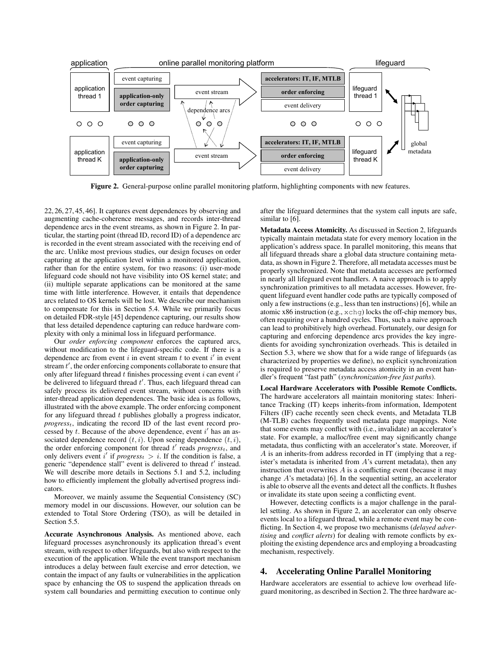

Figure 2. General-purpose online parallel monitoring platform, highlighting components with new features.

22, 26, 27, 45, 46]. It captures event dependences by observing and augmenting cache-coherence messages, and records inter-thread dependence arcs in the event streams, as shown in Figure 2. In particular, the starting point (thread ID, record ID) of a dependence arc is recorded in the event stream associated with the receiving end of the arc. Unlike most previous studies, our design focuses on order capturing at the application level within a monitored application, rather than for the entire system, for two reasons: (i) user-mode lifeguard code should not have visibility into OS kernel state; and (ii) multiple separate applications can be monitored at the same time with little interference. However, it entails that dependence arcs related to OS kernels will be lost. We describe our mechanism to compensate for this in Section 5.4. While we primarily focus on detailed FDR-style [45] dependence capturing, our results show that less detailed dependence capturing can reduce hardware complexity with only a minimal loss in lifeguard performance.

Our *order enforcing component* enforces the captured arcs, without modification to the lifeguard-specific code. If there is a dependence arc from event  $i$  in event stream  $t$  to event  $i'$  in event stream  $t'$ , the order enforcing components collaborate to ensure that only after lifeguard thread  $t$  finishes processing event  $i$  can event  $i'$ be delivered to lifeguard thread  $t'$ . Thus, each lifeguard thread can safely process its delivered event stream, without concerns with inter-thread application dependences. The basic idea is as follows, illustrated with the above example. The order enforcing component for any lifeguard thread  $t$  publishes globally a progress indicator, *progress*t, indicating the record ID of the last event record processed by  $t$ . Because of the above dependence, event  $i'$  has an associated dependence record  $(t, i)$ . Upon seeing dependence  $(t, i)$ , the order enforcing component for thread  $t'$  reads  $progress<sub>t</sub>$ , and only delivers event i' if  $progress_t > i$ . If the condition is false, a generic "dependence stall" event is delivered to thread  $t'$  instead. We will describe more details in Sections 5.1 and 5.2, including how to efficiently implement the globally advertised progress indicators.

Moreover, we mainly assume the Sequential Consistency (SC) memory model in our discussions. However, our solution can be extended to Total Store Ordering (TSO), as will be detailed in Section 5.5.

Accurate Asynchronous Analysis. As mentioned above, each lifeguard processes asynchronously its application thread's event stream, with respect to other lifeguards, but also with respect to the execution of the application. While the event transport mechanism introduces a delay between fault exercise and error detection, we contain the impact of any faults or vulnerabilities in the application space by enhancing the OS to suspend the application threads on system call boundaries and permitting execution to continue only after the lifeguard determines that the system call inputs are safe, similar to [6].

Metadata Access Atomicity. As discussed in Section 2, lifeguards typically maintain metadata state for every memory location in the application's address space. In parallel monitoring, this means that all lifeguard threads share a global data structure containing metadata, as shown in Figure 2. Therefore, all metadata accesses must be properly synchronized. Note that metadata accesses are performed in nearly all lifeguard event handlers. A naive approach is to apply synchronization primitives to all metadata accesses. However, frequent lifeguard event handler code paths are typically composed of only a few instructions (e.g., less than ten instructions) [6], while an atomic x86 instruction (e.g., xchg) locks the off-chip memory bus, often requiring over a hundred cycles. Thus, such a naive approach can lead to prohibitively high overhead. Fortunately, our design for capturing and enforcing dependence arcs provides the key ingredients for avoiding synchronization overheads. This is detailed in Section 5.3, where we show that for a wide range of lifeguards (as characterized by properties we define), no explicit synchronization is required to preserve metadata access atomicity in an event handler's frequent "fast path" (*synchronization-free fast paths*).

Local Hardware Accelerators with Possible Remote Conflicts. The hardware accelerators all maintain monitoring states: Inheritance Tracking (IT) keeps inherits-from information, Idempotent Filters (IF) cache recently seen check events, and Metadata TLB (M-TLB) caches frequently used metadata page mappings. Note that some events may conflict with (i.e., invalidate) an accelerator's state. For example, a malloc/free event may significantly change metadata, thus conflicting with an accelerator's state. Moreover, if A is an inherits-from address recorded in IT (implying that a register's metadata is inherited from  $A$ 's current metadata), then any instruction that overwrites  $A$  is a conflicting event (because it may change A's metadata) [6]. In the sequential setting, an accelerator is able to observe all the events and detect all the conflicts. It flushes or invalidate its state upon seeing a conflicting event.

However, detecting conflicts is a major challenge in the parallel setting. As shown in Figure 2, an accelerator can only observe events local to a lifeguard thread, while a remote event may be conflicting. In Section 4, we propose two mechanisms (*delayed advertising* and *conflict alerts*) for dealing with remote conflicts by exploiting the existing dependence arcs and employing a broadcasting mechanism, respectively.

# 4. Accelerating Online Parallel Monitoring

Hardware accelerators are essential to achieve low overhead lifeguard monitoring, as described in Section 2. The three hardware ac-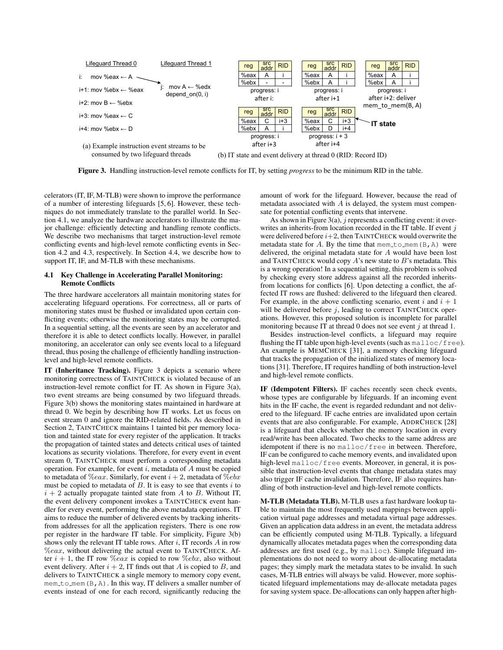

Figure 3. Handling instruction-level remote conflicts for IT, by setting *progress* to be the minimum RID in the table.

celerators (IT, IF, M-TLB) were shown to improve the performance of a number of interesting lifeguards [5, 6]. However, these techniques do not immediately translate to the parallel world. In Section 4.1, we analyze the hardware accelerators to illustrate the major challenge: efficiently detecting and handling remote conflicts. We describe two mechanisms that target instruction-level remote conflicting events and high-level remote conflicting events in Section 4.2 and 4.3, respectively. In Section 4.4, we describe how to support IT, IF, and M-TLB with these mechanisms.

#### 4.1 Key Challenge in Accelerating Parallel Monitoring: Remote Conflicts

The three hardware accelerators all maintain monitoring states for accelerating lifeguard operations. For correctness, all or parts of monitoring states must be flushed or invalidated upon certain conflicting events; otherwise the monitoring states may be corrupted. In a sequential setting, all the events are seen by an accelerator and therefore it is able to detect conflicts locally. However, in parallel monitoring, an accelerator can only see events local to a lifeguard thread, thus posing the challenge of efficiently handling instructionlevel and high-level remote conflicts.

IT (Inheritance Tracking). Figure 3 depicts a scenario where monitoring correctness of TAINTCHECK is violated because of an instruction-level remote conflict for IT. As shown in Figure 3(a), two event streams are being consumed by two lifeguard threads. Figure 3(b) shows the monitoring states maintained in hardware at thread 0. We begin by describing how IT works. Let us focus on event stream 0 and ignore the RID-related fields. As described in Section 2, TAINTCHECK maintains 1 tainted bit per memory location and tainted state for every register of the application. It tracks the propagation of tainted states and detects critical uses of tainted locations as security violations. Therefore, for every event in event stream 0, TAINTCHECK must perform a corresponding metadata operation. For example, for event  $i$ , metadata of  $A$  must be copied to metadata of  $\%$ eax. Similarly, for event  $i + 2$ , metadata of  $\%$ ebx must be copied to metadata of  $B$ . It is easy to see that events  $i$  to  $i + 2$  actually propagate tainted state from A to B. Without IT, the event delivery component invokes a TAINTCHECK event handler for every event, performing the above metadata operations. IT aims to reduce the number of delivered events by tracking inheritsfrom addresses for all the application registers. There is one row per register in the hardware IT table. For simplicity, Figure 3(b) shows only the relevant IT table rows. After  $i$ , IT records  $\overline{A}$  in row  $\%eax$ , without delivering the actual event to TAINTCHECK. After  $i + 1$ , the IT row  $\%$ eax is copied to row  $\%$ ebx, also without event delivery. After  $i + 2$ , IT finds out that A is copied to B, and delivers to TAINTCHECK a single memory to memory copy event, mem\_to\_mem( $B$ , $A$ ). In this way, IT delivers a smaller number of events instead of one for each record, significantly reducing the amount of work for the lifeguard. However, because the read of metadata associated with  $A$  is delayed, the system must compensate for potential conflicting events that intervene.

As shown in Figure 3(a),  $j$  represents a conflicting event: it overwrites an inherits-from location recorded in the IT table. If event j were delivered before  $i+2$ , then TAINTCHECK would overwrite the metadata state for  $A$ . By the time that mem<sub> $\text{t}$ </sub> mem (B, A) were delivered, the original metadata state for A would have been lost and TAINTCHECK would copy  $A$ 's new state to  $B$ 's metadata. This is a wrong operation! In a sequential setting, this problem is solved by checking every store address against all the recorded inheritsfrom locations for conflicts [6]. Upon detecting a conflict, the affected IT rows are flushed: delivered to the lifeguard then cleared. For example, in the above conflicting scenario, event i and  $i + 1$ will be delivered before  $j$ , leading to correct TAINTCHECK operations. However, this proposed solution is incomplete for parallel monitoring because IT at thread 0 does not see event  $\dot{\jmath}$  at thread 1.

Besides instruction-level conflicts, a lifeguard may require flushing the IT table upon high-level events (such as malloc/free). An example is MEMCHECK [31], a memory checking lifeguard that tracks the propagation of the initialized states of memory locations [31]. Therefore, IT requires handling of both instruction-level and high-level remote conflicts.

IF (Idempotent Filters). IF caches recently seen check events, whose types are configurable by lifeguards. If an incoming event hits in the IF cache, the event is regarded redundant and not delivered to the lifeguard. IF cache entries are invalidated upon certain events that are also configurable. For example, ADDRCHECK [28] is a lifeguard that checks whether the memory location in every read/write has been allocated. Two checks to the same address are idempotent if there is no malloc/free in between. Therefore, IF can be configured to cache memory events, and invalidated upon high-level malloc/free events. Moreover, in general, it is possible that instruction-level events that change metadata states may also trigger IF cache invalidation. Therefore, IF also requires handling of both instruction-level and high-level remote conflicts.

M-TLB (Metadata TLB). M-TLB uses a fast hardware lookup table to maintain the most frequently used mappings between application virtual page addresses and metadata virtual page addresses. Given an application data address in an event, the metadata address can be efficiently computed using M-TLB. Typically, a lifeguard dynamically allocates metadata pages when the corresponding data addresses are first used (e.g., by malloc). Simple lifeguard implementations do not need to worry about de-allocating metadata pages; they simply mark the metadata states to be invalid. In such cases, M-TLB entries will always be valid. However, more sophisticated lifeguard implementations may de-allocate metadata pages for saving system space. De-allocations can only happen after high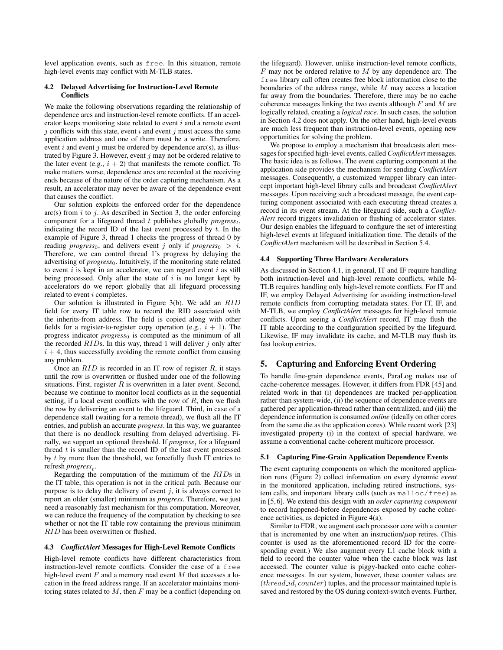level application events, such as free. In this situation, remote high-level events may conflict with M-TLB states.

#### 4.2 Delayed Advertising for Instruction-Level Remote **Conflicts**

We make the following observations regarding the relationship of dependence arcs and instruction-level remote conflicts. If an accelerator keeps monitoring state related to event  $i$  and a remote event  $j$  conflicts with this state, event  $i$  and event  $j$  must access the same application address and one of them must be a write. Therefore, event i and event j must be ordered by dependence  $arc(s)$ , as illustrated by Figure 3. However, event  $j$  may not be ordered relative to the later event (e.g.,  $i + 2$ ) that manifests the remote conflict. To make matters worse, dependence arcs are recorded at the receiving ends because of the nature of the order capturing mechanism. As a result, an accelerator may never be aware of the dependence event that causes the conflict.

Our solution exploits the enforced order for the dependence  $\arccos$ ) from i to j. As described in Section 3, the order enforcing component for a lifeguard thread  $t$  publishes globally  $progress<sub>t</sub>$ , indicating the record ID of the last event processed by  $t$ . In the example of Figure 3, thread 1 checks the progress of thread 0 by reading *progress*<sup>0</sup>, and delivers event j only if  $progress<sub>0</sub> > i$ . Therefore, we can control thread 1's progress by delaying the advertising of *progress*0. Intuitively, if the monitoring state related to event  $i$  is kept in an accelerator, we can regard event  $i$  as still being processed. Only after the state of  $i$  is no longer kept by accelerators do we report globally that all lifeguard processing related to event i completes.

Our solution is illustrated in Figure 3(b). We add an RID field for every IT table row to record the RID associated with the inherits-from address. The field is copied along with other fields for a register-to-register copy operation (e.g.,  $i + 1$ ). The progress indicator *progress*<sup>0</sup> is computed as the minimum of all the recorded  $RIDs$ . In this way, thread 1 will deliver j only after  $i + 4$ , thus successfully avoiding the remote conflict from causing any problem.

Once an  $RID$  is recorded in an IT row of register  $R$ , it stays until the row is overwritten or flushed under one of the following situations. First, register  $R$  is overwritten in a later event. Second, because we continue to monitor local conflicts as in the sequential setting, if a local event conflicts with the row of  $R$ , then we flush the row by delivering an event to the lifeguard. Third, in case of a dependence stall (waiting for a remote thread), we flush all the IT entries, and publish an accurate *progress*. In this way, we guarantee that there is no deadlock resulting from delayed advertising. Finally, we support an optional threshold. If  $progress<sub>t</sub>$  for a lifeguard thread  $t$  is smaller than the record ID of the last event processed by t by more than the threshold, we forcefully flush IT entries to refresh *progress<sub>t</sub>*.

Regarding the computation of the minimum of the RIDs in the IT table, this operation is not in the critical path. Because our purpose is to delay the delivery of event  $j$ , it is always correct to report an older (smaller) minimum as *progress*. Therefore, we just need a reasonably fast mechanism for this computation. Moreover, we can reduce the frequency of the computation by checking to see whether or not the IT table row containing the previous minimum RID has been overwritten or flushed.

#### 4.3 *ConflictAlert* Messages for High-Level Remote Conflicts

High-level remote conflicts have different characteristics from instruction-level remote conflicts. Consider the case of a free high-level event  $F$  and a memory read event  $M$  that accesses a location in the freed address range. If an accelerator maintains monitoring states related to  $M$ , then  $F$  may be a conflict (depending on the lifeguard). However, unlike instruction-level remote conflicts,  $F$  may not be ordered relative to  $M$  by any dependence arc. The free library call often creates free block information close to the boundaries of the address range, while  $M$  may access a location far away from the boundaries. Therefore, there may be no cache coherence messages linking the two events although  $F$  and  $M$  are logically related, creating a *logical race*. In such cases, the solution in Section 4.2 does not apply. On the other hand, high-level events are much less frequent than instruction-level events, opening new opportunities for solving the problem.

We propose to employ a mechanism that broadcasts alert messages for specified high-level events, called *ConflictAlert* messages. The basic idea is as follows. The event capturing component at the application side provides the mechanism for sending *ConflictAlert* messages. Consequently, a customized wrapper library can intercept important high-level library calls and broadcast *ConflictAlert* messages. Upon receiving such a broadcast message, the event capturing component associated with each executing thread creates a record in its event stream. At the lifeguard side, such a *Conflict-Alert* record triggers invalidation or flushing of accelerator states. Our design enables the lifeguard to configure the set of interesting high-level events at lifeguard initialization time. The details of the *ConflictAlert* mechanism will be described in Section 5.4.

#### 4.4 Supporting Three Hardware Accelerators

As discussed in Section 4.1, in general, IT and IF require handling both instruction-level and high-level remote conflicts, while M-TLB requires handling only high-level remote conflicts. For IT and IF, we employ Delayed Advertising for avoiding instruction-level remote conflicts from corrupting metadata states. For IT, IF, and M-TLB, we employ *ConflictAlert* messages for high-level remote conflicts. Upon seeing a *ConflictAlert* record, IT may flush the IT table according to the configuration specified by the lifeguard. Likewise, IF may invalidate its cache, and M-TLB may flush its fast lookup entries.

## 5. Capturing and Enforcing Event Ordering

To handle fine-grain dependence events, ParaLog makes use of cache-coherence messages. However, it differs from FDR [45] and related work in that (i) dependences are tracked per-application rather than system-wide, (ii) the sequence of dependence events are gathered per application-thread rather than centralized, and (iii) the dependence information is consumed *online* (ideally on other cores from the same die as the application cores). While recent work [23] investigated property (i) in the context of special hardware, we assume a conventional cache-coherent multicore processor.

#### 5.1 Capturing Fine-Grain Application Dependence Events

The event capturing components on which the monitored application runs (Figure 2) collect information on every dynamic *event* in the monitored application, including retired instructions, system calls, and important library calls (such as malloc/free) as in [5, 6]. We extend this design with an *order capturing component* to record happened-before dependences exposed by cache coherence activities, as depicted in Figure 4(a).

Similar to FDR, we augment each processor core with a counter that is incremented by one when an instruction/ $\mu$ op retires. (This counter is used as the aforementioned record ID for the corresponding event.) We also augment every L1 cache block with a field to record the counter value when the cache block was last accessed. The counter value is piggy-backed onto cache coherence messages. In our system, however, these counter values are (thread id, counter) tuples, and the processor maintained tuple is saved and restored by the OS during context-switch events. Further,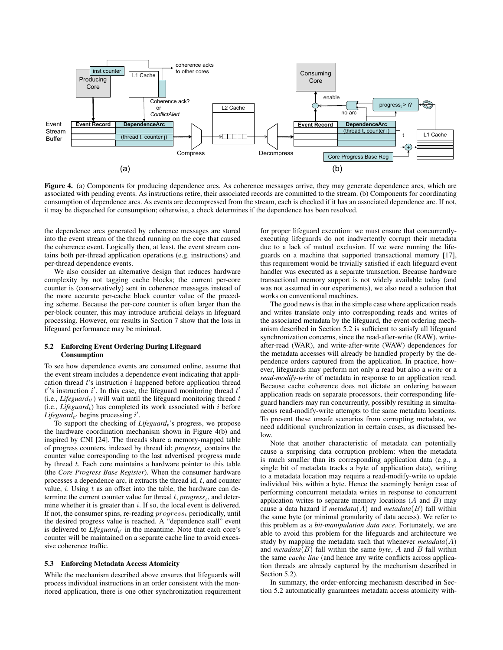

Figure 4. (a) Components for producing dependence arcs. As coherence messages arrive, they may generate dependence arcs, which are associated with pending events. As instructions retire, their associated records are committed to the stream. (b) Components for coordinating consumption of dependence arcs. As events are decompressed from the stream, each is checked if it has an associated dependence arc. If not, it may be dispatched for consumption; otherwise, a check determines if the dependence has been resolved.

the dependence arcs generated by coherence messages are stored into the event stream of the thread running on the core that caused the coherence event. Logically then, at least, the event stream contains both per-thread application operations (e.g. instructions) and per-thread dependence events.

We also consider an alternative design that reduces hardware complexity by not tagging cache blocks; the current per-core counter is (conservatively) sent in coherence messages instead of the more accurate per-cache block counter value of the preceding scheme. Because the per-core counter is often larger than the per-block counter, this may introduce artificial delays in lifeguard processing. However, our results in Section 7 show that the loss in lifeguard performance may be minimal.

## 5.2 Enforcing Event Ordering During Lifeguard Consumption

To see how dependence events are consumed online, assume that the event stream includes a dependence event indicating that application thread  $t$ 's instruction  $i$  happened before application thread  $t'$ 's instruction  $i'$ . In this case, the lifeguard monitoring thread  $t'$  $(i.e., *Lifeguard<sub>t'</sub>*)$  will wait until the lifeguard monitoring thread  $t$  $(i.e., *Lifeguard<sub>t</sub>*)$  has completed its work associated with *i* before *Lifeguard*<sup>t</sup> begins processing i'.

To support the checking of *Lifeguard<sub>t</sub>*'s progress, we propose the hardware coordination mechanism shown in Figure 4(b) and inspired by CNI [24]. The threads share a memory-mapped table of progress counters, indexed by thread id;  $progress<sub>t</sub>$  contains the counter value corresponding to the last advertised progress made by thread  $t$ . Each core maintains a hardware pointer to this table (the *Core Progress Base Register*). When the consumer hardware processes a dependence arc, it extracts the thread id,  $t$ , and counter value, i. Using  $t$  as an offset into the table, the hardware can determine the current counter value for thread  $t$ ,  $progress<sub>t</sub>$ , and determine whether it is greater than  $i$ . If so, the local event is delivered. If not, the consumer spins, re-reading  $progress_t$  periodically, until the desired progress value is reached. A "dependence stall" event is delivered to  $Lifeguard_t$  in the meantime. Note that each core's counter will be maintained on a separate cache line to avoid excessive coherence traffic.

#### 5.3 Enforcing Metadata Access Atomicity

While the mechanism described above ensures that lifeguards will process individual instructions in an order consistent with the monitored application, there is one other synchronization requirement for proper lifeguard execution: we must ensure that concurrentlyexecuting lifeguards do not inadvertently corrupt their metadata due to a lack of mutual exclusion. If we were running the lifeguards on a machine that supported transactional memory [17], this requirement would be trivially satisfied if each lifeguard event handler was executed as a separate transaction. Because hardware transactional memory support is not widely available today (and was not assumed in our experiments), we also need a solution that works on conventional machines.

The good news is that in the simple case where application reads and writes translate only into corresponding reads and writes of the associated metadata by the lifeguard, the event ordering mechanism described in Section 5.2 is sufficient to satisfy all lifeguard synchronization concerns, since the read-after-write (RAW), writeafter-read (WAR), and write-after-write (WAW) dependences for the metadata accesses will already be handled properly by the dependence orders captured from the application. In practice, however, lifeguards may perform not only a read but also a *write* or a *read-modify-write* of metadata in response to an application read. Because cache coherence does not dictate an ordering between application reads on separate processors, their corresponding lifeguard handlers may run concurrently, possibly resulting in simultaneous read-modify-write attempts to the same metadata locations. To prevent these unsafe scenarios from corrupting metadata, we need additional synchronization in certain cases, as discussed below.

Note that another characteristic of metadata can potentially cause a surprising data corruption problem: when the metadata is much smaller than its corresponding application data (e.g., a single bit of metadata tracks a byte of application data), writing to a metadata location may require a read-modify-write to update individual bits within a byte. Hence the seemingly benign case of performing concurrent metadata writes in response to concurrent application writes to separate memory locations  $(A \text{ and } B)$  may cause a data hazard if  $metadata(A)$  and  $metadata(B)$  fall within the same byte (or minimal granularity of data access). We refer to this problem as a *bit-manipulation data race*. Fortunately, we are able to avoid this problem for the lifeguards and architecture we study by mapping the metadata such that whenever  $\mathit{metadata}(A)$ and  $metadata(B)$  fall within the same *byte*, A and B fall within the same *cache line* (and hence any write conflicts across application threads are already captured by the mechanism described in Section 5.2).

In summary, the order-enforcing mechanism described in Section 5.2 automatically guarantees metadata access atomicity with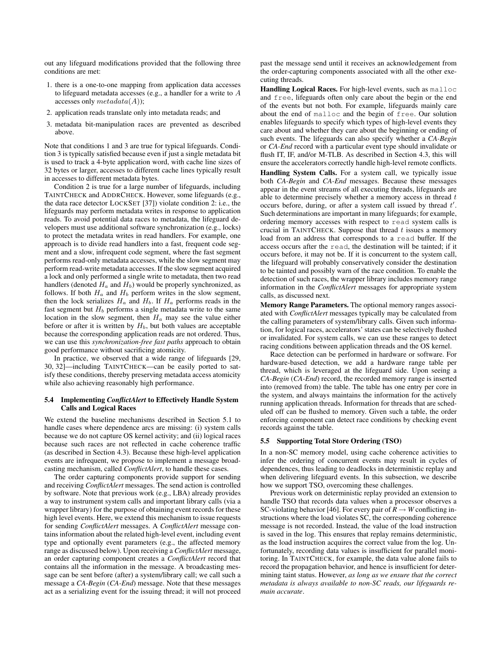out any lifeguard modifications provided that the following three conditions are met:

- 1. there is a one-to-one mapping from application data accesses to lifeguard metadata accesses (e.g., a handler for a write to A accesses only  $metadata(A)$ ;
- 2. application reads translate only into metadata reads; and
- 3. metadata bit-manipulation races are prevented as described above.

Note that conditions 1 and 3 are true for typical lifeguards. Condition 3 is typically satisfied because even if just a single metadata bit is used to track a 4-byte application word, with cache line sizes of 32 bytes or larger, accesses to different cache lines typically result in accesses to different metadata bytes.

Condition 2 is true for a large number of lifeguards, including TAINTCHECK and ADDRCHECK. However, some lifeguards (e.g., the data race detector LOCKSET [37]) violate condition 2: i.e., the lifeguards may perform metadata writes in response to application reads. To avoid potential data races to metadata, the lifeguard developers must use additional software synchronization (e.g., locks) to protect the metadata writes in read handlers. For example, one approach is to divide read handlers into a fast, frequent code segment and a slow, infrequent code segment, where the fast segment performs read-only metadata accesses, while the slow segment may perform read-write metadata accesses. If the slow segment acquired a lock and only performed a single write to metadata, then two read handlers (denoted  $H_a$  and  $H_b$ ) would be properly synchronized, as follows. If both  $H_a$  and  $H_b$  perform writes in the slow segment, then the lock serializes  $H_a$  and  $H_b$ . If  $H_a$  performs reads in the fast segment but  $H_b$  performs a single metadata write to the same location in the slow segment, then  $H_a$  may see the value either before or after it is written by  $H<sub>b</sub>$ , but both values are acceptable because the corresponding application reads are not ordered. Thus, we can use this *synchronization-free fast paths* approach to obtain good performance without sacrificing atomicity.

In practice, we observed that a wide range of lifeguards [29, 30, 32]—including TAINTCHECK—can be easily ported to satisfy these conditions, thereby preserving metadata access atomicity while also achieving reasonably high performance.

#### 5.4 Implementing *ConflictAlert* to Effectively Handle System Calls and Logical Races

We extend the baseline mechanisms described in Section 5.1 to handle cases where dependence arcs are missing: (i) system calls because we do not capture OS kernel activity; and (ii) logical races because such races are not reflected in cache coherence traffic (as described in Section 4.3). Because these high-level application events are infrequent, we propose to implement a message broadcasting mechanism, called *ConflictAlert*, to handle these cases.

The order capturing components provide support for sending and receiving *ConflictAlert* messages. The send action is controlled by software. Note that previous work (e.g., LBA) already provides a way to instrument system calls and important library calls (via a wrapper library) for the purpose of obtaining event records for these high level events. Here, we extend this mechanism to issue requests for sending *ConflictAlert* messages. A *ConflictAlert* message contains information about the related high-level event, including event type and optionally event parameters (e.g., the affected memory range as discussed below). Upon receiving a *ConflictAlert* message, an order capturing component creates a *ConflictAlert* record that contains all the information in the message. A broadcasting message can be sent before (after) a system/library call; we call such a message a *CA-Begin* (*CA-End*) message. Note that these messages act as a serializing event for the issuing thread; it will not proceed past the message send until it receives an acknowledgement from the order-capturing components associated with all the other executing threads.

Handling Logical Races. For high-level events, such as malloc and free, lifeguards often only care about the begin or the end of the events but not both. For example, lifeguards mainly care about the end of malloc and the begin of free. Our solution enables lifeguards to specify which types of high-level events they care about and whether they care about the beginning or ending of such events. The lifeguards can also specify whether a *CA-Begin* or *CA-End* record with a particular event type should invalidate or flush IT, IF, and/or M-TLB. As described in Section 4.3, this will ensure the accelerators correctly handle high-level remote conflicts.

Handling System Calls. For a system call, we typically issue both *CA-Begin* and *CA-End* messages. Because these messages appear in the event streams of all executing threads, lifeguards are able to determine precisely whether a memory access in thread  $t$ occurs before, during, or after a system call issued by thread  $t'$ . Such determinations are important in many lifeguards; for example, ordering memory accesses with respect to read system calls is crucial in TAINTCHECK. Suppose that thread  $t$  issues a memory load from an address that corresponds to a read buffer. If the access occurs after the read, the destination will be tainted; if it occurs before, it may not be. If it is concurrent to the system call, the lifeguard will probably conservatively consider the destination to be tainted and possibly warn of the race condition. To enable the detection of such races, the wrapper library includes memory range information in the *ConflictAlert* messages for appropriate system calls, as discussed next.

Memory Range Parameters. The optional memory ranges associated with *ConflictAlert* messages typically may be calculated from the calling parameters of system/library calls. Given such information, for logical races, accelerators' states can be selectively flushed or invalidated. For system calls, we can use these ranges to detect racing conditions between application threads and the OS kernel.

Race detection can be performed in hardware or software. For hardware-based detection, we add a hardware range table per thread, which is leveraged at the lifeguard side. Upon seeing a *CA-Begin* (*CA-End*) record, the recorded memory range is inserted into (removed from) the table. The table has one entry per core in the system, and always maintains the information for the actively running application threads. Information for threads that are scheduled off can be flushed to memory. Given such a table, the order enforcing component can detect race conditions by checking event records against the table.

## 5.5 Supporting Total Store Ordering (TSO)

In a non-SC memory model, using cache coherence activities to infer the ordering of concurrent events may result in cycles of dependences, thus leading to deadlocks in deterministic replay and when delivering lifeguard events. In this subsection, we describe how we support TSO, overcoming these challenges.

Previous work on deterministic replay provided an extension to handle TSO that records data values when a processor observes a SC-violating behavior [46]. For every pair of  $R \to W$  conflicting instructions where the load violates SC, the corresponding coherence message is not recorded. Instead, the value of the load instruction is saved in the log. This ensures that replay remains deterministic, as the load instruction acquires the correct value from the log. Unfortunately, recording data values is insufficient for parallel monitoring. In TAINTCHECK, for example, the data value alone fails to record the propagation behavior, and hence is insufficient for determining taint status. However, *as long as we ensure that the correct metadata is always available to non-SC reads, our lifeguards remain accurate*.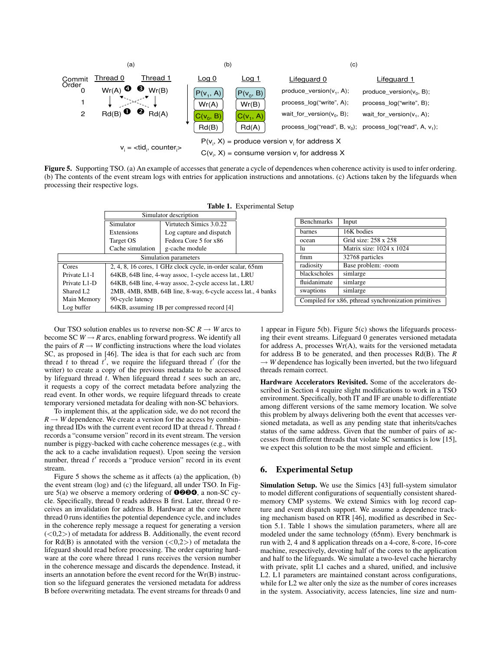

Figure 5. Supporting TSO. (a) An example of accesses that generate a cycle of dependences when coherence activity is used to infer ordering. (b) The contents of the event stream logs with entries for application instructions and annotations. (c) Actions taken by the lifeguards when processing their respective logs.

|                       |                                                              |                          | Table 1. Experimental Setup |                       |       |
|-----------------------|--------------------------------------------------------------|--------------------------|-----------------------------|-----------------------|-------|
|                       | Simulator description                                        |                          |                             |                       |       |
|                       | Simulator                                                    | Virtutech Simics 3.0.22  |                             | <b>Benchmarks</b>     | Input |
|                       | Extensions                                                   | Log capture and dispatch |                             | <b>barnes</b>         | 16K1  |
|                       | Target OS                                                    | Fedora Core 5 for x86    |                             | ocean                 | Grid  |
|                       | Cache simulation                                             | g-cache module           |                             | lu                    | Matri |
| Simulation parameters |                                                              |                          |                             | fmm                   | 3276  |
| Cores                 | 2, 4, 8, 16 cores, 1 GHz clock cycle, in-order scalar, 65nm  |                          |                             | radiosity             | Base  |
| Private L1-I          | 64KB, 64B line, 4-way assoc, 1-cycle access lat., LRU        |                          |                             | blackscholes          | simla |
| Private L1-D          | 64KB, 64B line, 4-way assoc, 2-cycle access lat., LRU        |                          |                             | fluidanimate          | simla |
| Shared L <sub>2</sub> | 2MB, 4MB, 8MB, 64B line, 8-way, 6-cycle access lat., 4 banks |                          |                             | swaptions             | simla |
| Main Memory           | 90-cycle latency                                             |                          |                             | Compiled for x86, pth |       |
| Log buffer            | 64KB, assuming 1B per compressed record [4]                  |                          |                             |                       |       |

| barnes                                               | 16K bodies               |  |  |  |
|------------------------------------------------------|--------------------------|--|--|--|
| ocean                                                | Grid size: 258 x 258     |  |  |  |
| lu                                                   | Matrix size: 1024 x 1024 |  |  |  |
| fmm                                                  | 32768 particles          |  |  |  |
| radiosity                                            | Base problem: -room      |  |  |  |
| blackscholes                                         | simlarge                 |  |  |  |
| fluidanimate                                         | simlarge                 |  |  |  |
| swaptions                                            | simlarge                 |  |  |  |
| Compiled for x86, pthread synchronization primitives |                          |  |  |  |
|                                                      |                          |  |  |  |

Our TSO solution enables us to reverse non-SC  $R \rightarrow W$  arcs to become SC  $W \rightarrow R$  arcs, enabling forward progress. We identify all the pairs of  $R \rightarrow W$  conflicting instructions where the load violates SC, as proposed in [46]. The idea is that for each such arc from thread  $\hat{t}$  to thread  $t^{\prime}$ , we require the lifeguard thread  $t^{\prime}$  (for the writer) to create a copy of the previous metadata to be accessed by lifeguard thread  $t$ . When lifeguard thread  $t$  sees such an arc, it requests a copy of the correct metadata before analyzing the read event. In other words, we require lifeguard threads to create temporary versioned metadata for dealing with non-SC behaviors.

To implement this, at the application side, we do not record the  $R \rightarrow W$  dependence. We create a version for the access by combining thread IDs with the current event record ID at thread  $t$ . Thread  $t$ records a "consume version" record in its event stream. The version number is piggy-backed with cache coherence messages (e.g., with the ack to a cache invalidation request). Upon seeing the version number, thread  $t'$  records a "produce version" record in its event stream.

Figure 5 shows the scheme as it affects (a) the application, (b) the event stream (log) and (c) the lifeguard, all under TSO. In Figure  $5(a)$  we observe a memory ordering of  $0000$ , a non-SC cycle. Specifically, thread 0 reads address B first. Later, thread 0 receives an invalidation for address B. Hardware at the core where thread 0 runs identifies the potential dependence cycle, and includes in the coherence reply message a request for generating a version  $(<0,2>)$  of metadata for address B. Additionally, the event record for  $Rd(B)$  is annotated with the version  $(<0,2>)$  of metadata the lifeguard should read before processing. The order capturing hardware at the core where thread 1 runs receives the version number in the coherence message and discards the dependence. Instead, it inserts an annotation before the event record for the Wr(B) instruction so the lifeguard generates the versioned metadata for address B before overwriting metadata. The event streams for threads 0 and

1 appear in Figure 5(b). Figure 5(c) shows the lifeguards processing their event streams. Lifeguard 0 generates versioned metadata for address A, processes  $Wr(A)$ , waits for the versioned metadata for address B to be generated, and then processes Rd(B). The *R*  $\rightarrow$  *W* dependence has logically been inverted, but the two lifeguard threads remain correct.

Hardware Accelerators Revisited. Some of the accelerators described in Section 4 require slight modifications to work in a TSO environment. Specifically, both IT and IF are unable to differentiate among different versions of the same memory location. We solve this problem by always delivering both the event that accesses versioned metadata, as well as any pending state that inherits/caches status of the same address. Given that the number of pairs of accesses from different threads that violate SC semantics is low [15], we expect this solution to be the most simple and efficient.

# 6. Experimental Setup

Simulation Setup. We use the Simics [43] full-system simulator to model different configurations of sequentially consistent sharedmemory CMP systems. We extend Simics with log record capture and event dispatch support. We assume a dependence tracking mechanism based on RTR [46], modified as described in Section 5.1. Table 1 shows the simulation parameters, where all are modeled under the same technology (65nm). Every benchmark is run with 2, 4 and 8 application threads on a 4-core, 8-core, 16-core machine, respectively, devoting half of the cores to the application and half to the lifeguards. We simulate a two-level cache hierarchy with private, split L1 caches and a shared, unified, and inclusive L2. L1 parameters are maintained constant across configurations, while for L2 we alter only the size as the number of cores increases in the system. Associativity, access latencies, line size and num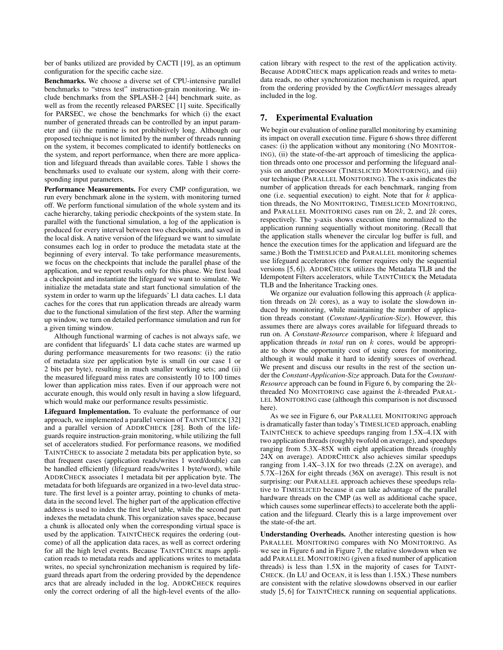ber of banks utilized are provided by CACTI [19], as an optimum configuration for the specific cache size.

Benchmarks. We choose a diverse set of CPU-intensive parallel benchmarks to "stress test" instruction-grain monitoring. We include benchmarks from the SPLASH-2 [44] benchmark suite, as well as from the recently released PARSEC [1] suite. Specifically for PARSEC, we chose the benchmarks for which (i) the exact number of generated threads can be controlled by an input parameter and (ii) the runtime is not prohibitively long. Although our proposed technique is not limited by the number of threads running on the system, it becomes complicated to identify bottlenecks on the system, and report performance, when there are more application and lifeguard threads than available cores. Table 1 shows the benchmarks used to evaluate our system, along with their corresponding input parameters.

Performance Measurements. For every CMP configuration, we run every benchmark alone in the system, with monitoring turned off. We perform functional simulation of the whole system and its cache hierarchy, taking periodic checkpoints of the system state. In parallel with the functional simulation, a log of the application is produced for every interval between two checkpoints, and saved in the local disk. A native version of the lifeguard we want to simulate consumes each log in order to produce the metadata state at the beginning of every interval. To take performance measurements, we focus on the checkpoints that include the parallel phase of the application, and we report results only for this phase. We first load a checkpoint and instantiate the lifeguard we want to simulate. We initialize the metadata state and start functional simulation of the system in order to warm up the lifeguards' L1 data caches. L1 data caches for the cores that run application threads are already warm due to the functional simulation of the first step. After the warming up window, we turn on detailed performance simulation and run for a given timing window.

Although functional warming of caches is not always safe, we are confident that lifeguards' L1 data cache states are warmed up during performance measurements for two reasons: (i) the ratio of metadata size per application byte is small (in our case 1 or 2 bits per byte), resulting in much smaller working sets; and (ii) the measured lifeguard miss rates are consistently 10 to 100 times lower than application miss rates. Even if our approach were not accurate enough, this would only result in having a slow lifeguard, which would make our performance results pessimistic.

Lifeguard Implementation. To evaluate the performance of our approach, we implemented a parallel version of TAINTCHECK [32] and a parallel version of ADDRCHECK [28]. Both of the lifeguards require instruction-grain monitoring, while utilizing the full set of accelerators studied. For performance reasons, we modified TAINTCHECK to associate 2 metadata bits per application byte, so that frequent cases (application reads/writes 1 word/double) can be handled efficiently (lifeguard reads/writes 1 byte/word), while ADDRCHECK associates 1 metadata bit per application byte. The metadata for both lifeguards are organized in a two-level data structure. The first level is a pointer array, pointing to chunks of metadata in the second level. The higher part of the application effective address is used to index the first level table, while the second part indexes the metadata chunk. This organization saves space, because a chunk is allocated only when the corresponding virtual space is used by the application. TAINTCHECK requires the ordering (outcome) of all the application data races, as well as correct ordering for all the high level events. Because TAINTCHECK maps application reads to metadata reads and applications writes to metadata writes, no special synchronization mechanism is required by lifeguard threads apart from the ordering provided by the dependence arcs that are already included in the log. ADDRCHECK requires only the correct ordering of all the high-level events of the allocation library with respect to the rest of the application activity. Because ADDRCHECK maps application reads and writes to metadata reads, no other synchronization mechanism is required, apart from the ordering provided by the *ConflictAlert* messages already included in the log.

# 7. Experimental Evaluation

We begin our evaluation of online parallel monitoring by examining its impact on overall execution time. Figure 6 shows three different cases: (i) the application without any monitoring (NO MONITOR-ING), (ii) the state-of-the-art approach of timeslicing the application threads onto one processor and performing the lifeguard analysis on another processor (TIMESLICED MONITORING), and (iii) our technique (PARALLEL MONITORING). The x-axis indicates the number of application threads for each benchmark, ranging from one (i.e. sequential execution) to eight. Note that for  $k$  application threads, the NO MONITORING, TIMESLICED MONITORING, and PARALLEL MONITORING cases run on  $2k$ , 2, and  $2k$  cores, respectively. The y-axis shows execution time normalized to the application running sequentially without monitoring. (Recall that the application stalls whenever the circular log buffer is full, and hence the execution times for the application and lifeguard are the same.) Both the TIMESLICED and PARALLEL monitoring schemes use lifeguard accelerators (the former requires only the sequential versions [5, 6]). ADDRCHECK utilizes the Metadata TLB and the Idempotent Filters accelerators, while TAINTCHECK the Metadata TLB and the Inheritance Tracking ones.

We organize our evaluation following this approach  $(k$  application threads on  $2k$  cores), as a way to isolate the slowdown induced by monitoring, while maintaining the number of application threads constant (*Constant-Application-Size*). However, this assumes there are always cores available for lifeguard threads to run on. A *Constant-Resource* comparison, where k lifeguard and application threads *in total* run on k cores, would be appropriate to show the opportunity cost of using cores for monitoring, although it would make it hard to identify sources of overhead. We present and discuss our results in the rest of the section under the *Constant-Application-Size* approach. Data for the *Constant-Resource* approach can be found in Figure 6, by comparing the 2kthreaded NO MONITORING case against the k-threaded PARAL-LEL MONITORING case (although this comparison is not discussed here).

As we see in Figure 6, our PARALLEL MONITORING approach is dramatically faster than today's TIMESLICED approach, enabling TAINTCHECK to achieve speedups ranging from 1.5X–4.1X with two application threads (roughly twofold on average), and speedups ranging from 5.3X–85X with eight application threads (roughly 24X on average). ADDRCHECK also achieves similar speedups ranging from 1.4X–3.1X for two threads (2.2X on average), and 5.7X–126X for eight threads (36X on average). This result is not surprising: our PARALLEL approach achieves these speedups relative to TIMESLICED because it can take advantage of the parallel hardware threads on the CMP (as well as additional cache space, which causes some superlinear effects) to accelerate both the application and the lifeguard. Clearly this is a large improvement over the state-of-the art.

Understanding Overheads. Another interesting question is how PARALLEL MONITORING compares with NO MONITORING. As we see in Figure 6 and in Figure 7, the relative slowdown when we add PARALLEL MONITORING (given a fixed number of application threads) is less than 1.5X in the majority of cases for TAINT-CHECK. (In LU and OCEAN, it is less than 1.15X.) These numbers are consistent with the relative slowdowns observed in our earlier study [5, 6] for TAINTCHECK running on sequential applications.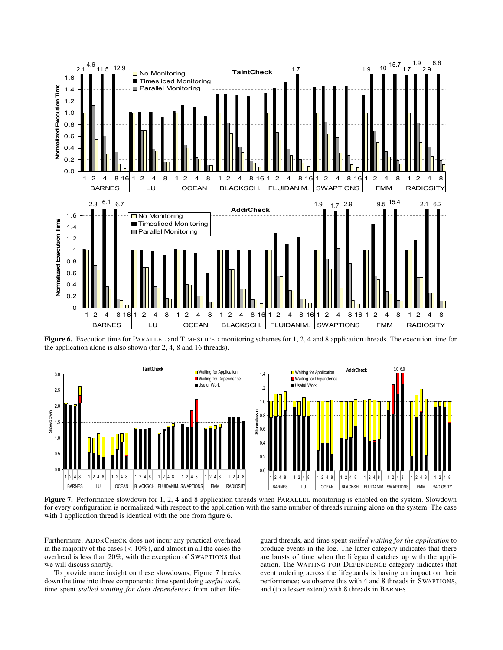

Figure 6. Execution time for PARALLEL and TIMESLICED monitoring schemes for 1, 2, 4 and 8 application threads. The execution time for the application alone is also shown (for 2, 4, 8 and 16 threads).



Figure 7. Performance slowdown for 1, 2, 4 and 8 application threads when PARALLEL monitoring is enabled on the system. Slowdown for every configuration is normalized with respect to the application with the same number of threads running alone on the system. The case with 1 application thread is identical with the one from figure 6.

Furthermore, ADDRCHECK does not incur any practical overhead in the majority of the cases  $(< 10\%)$ , and almost in all the cases the overhead is less than 20%, with the exception of SWAPTIONS that we will discuss shortly.

To provide more insight on these slowdowns, Figure 7 breaks down the time into three components: time spent doing *useful work*, time spent *stalled waiting for data dependences* from other lifeguard threads, and time spent *stalled waiting for the application* to produce events in the log. The latter category indicates that there are bursts of time when the lifeguard catches up with the application. The WAITING FOR DEPENDENCE category indicates that event ordering across the lifeguards is having an impact on their performance; we observe this with 4 and 8 threads in SWAPTIONS, and (to a lesser extent) with 8 threads in BARNES.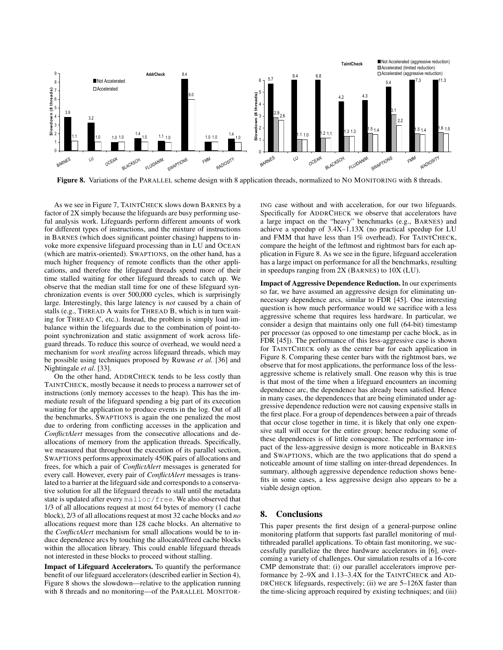

Figure 8. Variations of the PARALLEL scheme design with 8 application threads, normalized to NO MONITORING with 8 threads.

As we see in Figure 7, TAINTCHECK slows down BARNES by a factor of 2X simply because the lifeguards are busy performing useful analysis work. Lifeguards perform different amounts of work for different types of instructions, and the mixture of instructions in BARNES (which does significant pointer chasing) happens to invoke more expensive lifeguard processing than in LU and OCEAN (which are matrix-oriented). SWAPTIONS, on the other hand, has a much higher frequency of remote conflicts than the other applications, and therefore the lifeguard threads spend more of their time stalled waiting for other lifeguard threads to catch up. We observe that the median stall time for one of these lifeguard synchronization events is over 500,000 cycles, which is surprisingly large. Interestingly, this large latency is *not* caused by a chain of stalls (e.g., THREAD A waits for THREAD B, which is in turn waiting for THREAD C, etc.). Instead, the problem is simply load imbalance within the lifeguards due to the combination of point-topoint synchronization and static assignment of work across lifeguard threads. To reduce this source of overhead, we would need a mechanism for *work stealing* across lifeguard threads, which may be possible using techniques proposed by Ruwase *et al.* [36] and Nightingale *et al.* [33].

On the other hand, ADDRCHECK tends to be less costly than TAINTCHECK, mostly because it needs to process a narrower set of instructions (only memory accesses to the heap). This has the immediate result of the lifeguard spending a big part of its execution waiting for the application to produce events in the log. Out of all the benchmarks, SWAPTIONS is again the one penalized the most due to ordering from conflicting accesses in the application and *ConflictAlert* messages from the consecutive allocations and deallocations of memory from the application threads. Specifically, we measured that throughout the execution of its parallel section, SWAPTIONS performs approximately 450K pairs of allocations and frees, for which a pair of *ConflictAlert* messages is generated for every call. However, every pair of *ConflictAlert* messages is translated to a barrier at the lifeguard side and corresponds to a conservative solution for all the lifeguard threads to stall until the metadata state is updated after every malloc/free. We also observed that 1/3 of all allocations request at most 64 bytes of memory (1 cache block), 2/3 of all allocations request at most 32 cache blocks and *no* allocations request more than 128 cache blocks. An alternative to the *ConflictAlert* mechanism for small allocations would be to induce dependence arcs by touching the allocated/freed cache blocks within the allocation library. This could enable lifeguard threads not interested in these blocks to proceed without stalling.

Impact of Lifeguard Accelerators. To quantify the performance benefit of our lifeguard accelerators (described earlier in Section 4), Figure 8 shows the slowdown—relative to the application running with 8 threads and no monitoring—of the PARALLEL MONITOR- ING case without and with acceleration, for our two lifeguards. Specifically for ADDRCHECK we observe that accelerators have a large impact on the "heavy" benchmarks (e.g., BARNES) and achieve a speedup of 3.4X–1.13X (no practical speedup for LU and FMM that have less than 1% overhead). For TAINTCHECK, compare the height of the leftmost and rightmost bars for each application in Figure 8. As we see in the figure, lifeguard acceleration has a large impact on performance for all the benchmarks, resulting in speedups ranging from 2X (BARNES) to 10X (LU).

Impact of Aggressive Dependence Reduction. In our experiments so far, we have assumed an aggressive design for eliminating unnecessary dependence arcs, similar to FDR [45]. One interesting question is how much performance would we sacrifice with a less aggressive scheme that requires less hardware. In particular, we consider a design that maintains only one full (64-bit) timestamp per processor (as opposed to one timestamp per cache block, as in FDR [45]). The performance of this less-aggressive case is shown for TAINTCHECK only as the center bar for each application in Figure 8. Comparing these center bars with the rightmost bars, we observe that for most applications, the performance loss of the lessaggressive scheme is relatively small. One reason why this is true is that most of the time when a lifeguard encounters an incoming dependence arc, the dependence has already been satisfied. Hence in many cases, the dependences that are being eliminated under aggressive dependence reduction were not causing expensive stalls in the first place. For a group of dependences between a pair of threads that occur close together in time, it is likely that only one expensive stall will occur for the entire group; hence reducing some of these dependences is of little consequence. The performance impact of the less-aggressive design is more noticeable in BARNES and SWAPTIONS, which are the two applications that do spend a noticeable amount of time stalling on inter-thread dependences. In summary, although aggressive dependence reduction shows benefits in some cases, a less aggressive design also appears to be a viable design option.

## 8. Conclusions

This paper presents the first design of a general-purpose online monitoring platform that supports fast parallel monitoring of multithreaded parallel applications. To obtain fast monitoring, we successfully parallelize the three hardware accelerators in [6], overcoming a variety of challenges. Our simulation results of a 16-core CMP demonstrate that: (i) our parallel accelerators improve performance by 2–9X and 1.13–3.4X for the TAINTCHECK and AD-DRCHECK lifeguards, respectively; (ii) we are 5–126X faster than the time-slicing approach required by existing techniques; and (iii)